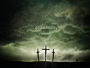# good friday

زجاه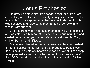#### Jesus Prophesied

He grew up before him like a tender shoot, and like a root out of dry ground. He had no beauty or majesty to attract us to him, nothing in his appearance that we should desire him. He was despised and rejected by men, a man of sorrows, and familiar with suffering.

Like one from whom men hide their faces he was despised, and we esteemed him not. Surely he took up our infirmities and carried our sorrows, yet we considered him stricken by God, smitten by him, and afflicted.

But he was pierced for our transgressions, he was crushed for our iniquities; the punishment that brought us peace was upon him, and by his wounds we are healed. We all, like sheep, have gone astray, each of us has turned to his own way; and the LORD has laid on him the iniquity of us all. [Isaiah 53:2-6; NIV84]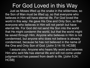# For God Loved in this Way

Just as Moses lifted up the snake in the wilderness, so the Son of Man must be lifted up, so that everyone who believes in Him will have eternal life. For God loved the world in this way: He gave His One and Only Son, so that everyone who believes in Him will not perish but have eternal life. For God did not send His Son into the world that He might condemn the world, but that the world might be saved through Him. Anyone who believes in Him is not condemned, but anyone who does not believe is already condemned, because he has not believed in the name of the One and Only Son of God. [John 3:14-18; HCSB]

I assure you: Anyone who hears My word and believes Him who sent Me has eternal life and will not come under judgment but has passed from death to life. [John 5:24; HCSB]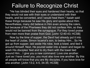# Failure to Recognize Christ

"He has blinded their eyes and hardened their hearts, so that they would not see with their eyes or understand with their hearts, and be converted, and I would heal them." Isaiah said these things because he saw His glory and spoke about Him. Nevertheless, many did believe in Him even among the rulers, but because of the Pharisees they did not confess Him, so they would not be banned from the synagogue. For they loved praise from men more than praise from God. [John 12:40-43; HCSB]

Now by the time of supper, the Devil had already put it into the heart of Judas, Simon Iscariot's son, to betray Him... So He got up from supper, laid aside His robe, took a towel, and tied it around Himself. Next, He poured water into a basin and began to wash His disciples' feet and to dry them with the towel tied around Him... I give you a new command: Love one another. Just as I have loved you, you must also love one another. By this all people will know that you are My disciples, if you have love for one another. [John 13:2, 4-5, 34-35; HCSB]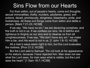### Sins Flow from our Hearts

For from within, out of people's hearts, come evil thoughts, sexual immoralities, thefts, murders, adulteries, greed, evil actions, deceit, promiscuity, stinginess, blasphemy, pride, and foolishness. All these evil things come from within and defile a person. [Mark 7:21-23; HCSB]

If we say, "We have no sin," we are deceiving ourselves, and the truth is not in us. If we confess our sins, He is faithful and righteous to forgive us our sins and to cleanse us from all unrighteousness. If we say, "We don't have any sin," we make Him a liar, and His word is not in us. [1 John 1:8-10; HCSB]

All a man's ways seem right to him, but the Lord evaluates the motives. [Prov 21:2; HCSB]

But the Lord said to Samuel, "Do not look at his appearance or his stature, because I have rejected him. Man does not see what the Lord sees, for man sees what is visible, but the Lord sees the heart." [1 Sam 16:7; HCSB]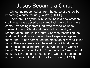#### Jesus Became a Curse

Christ has redeemed us from the curse of the law by becoming a curse for us. [Gal 3:13; HCSB]

Therefore, if anyone is in Christ, he is a new creation; old things have passed away, and look, new things have come. Everything is from God, who reconciled us to Himself through Christ and gave us the ministry of reconciliation: That is, in Christ, God was reconciling the world to Himself, not counting their trespasses against them, and He has committed the message of reconciliation to us. Therefore, we are ambassadors for Christ, certain that God is appealing through us. We plead on Christ's behalf, "Be reconciled to God." He made the One who did not know sin to be sin for us, so that we might become the righteousness of God in Him. [2 Cor 5:17-21; HCSB]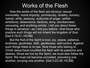## Works of the Flesh

Now the works of the flesh are obvious: sexual immorality, moral impurity, promiscuity, idolatry, sorcery, hatred, strife, jealousy, outbursts of anger, selfish ambitions, dissensions, factions, envy, drunkenness, carousing, and anything similar. I tell you about these things in advance—as I told you before—that those who practice such things will not inherit the kingdom of God. [Gal 5:19-21; HCSB]

But the fruit of the Spirit is love, joy, peace, patience, kindness, goodness, faith, gentleness, self-control. Against such things there is no law. Now those who belong to Christ Jesus have crucified the flesh with its passions and desires. Since we live by the Spirit, we must also follow the Spirit. We must not become conceited, provoking one another, envying one another. [Gal 5:22-26; HCSB]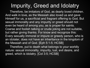# Impurity, Greed and Idolatry

Therefore, be imitators of God, as dearly loved children. And walk in love, as the Messiah also loved us and gave Himself for us, a sacrificial and fragrant offering to God. But sexual immorality and any impurity or greed should not even be heard of among you, as is proper for saints. Coarse and foolish talking or crude joking are not suitable, but rather giving thanks. For know and recognize this: Every sexually immoral or impure or greedy person, who is an idolater, does not have an inheritance in the kingdom of the Messiah and of God. [Eph 5:1-5; HCSB]

Therefore, put to death what belongs to your worldly nature: sexual immorality, impurity, lust, evil desire, and greed, which is idolatry. [Col 3:5; HCSB]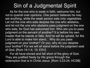# Sin of a Judgmental Spirit

As for the one who is weak in faith, welcome him, but not to quarrel over opinions. One person believes he may eat anything, while the weak person eats only vegetables. Let not the one who eats despise the one who abstains, and let not the one who abstains pass judgment on the one who eats, for God has welcomed him. Who are you to pass judgment on the servant of another? It is before his own master that he stands or falls. And he will be upheld, for the Lord is able to make him stand... Why do you pass judgment on your brother? Or you, why do you despise your brother? For we will all stand before the judgment seat of God. [Rom 14:1-4, 10; ESV]

For all have sinned and fall short of the glory of God. They are justified freely by His grace through the redemption that is in Christ Jesus. [Rom 3:23-24; HCSB]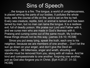## Sins of Speech

...the tongue is a fire. The tongue, a world of unrighteousness, is placed among the parts of our bodies. It pollutes the whole body, sets the course of life on fire, and is set on fire by hell. Every sea creature, reptile, bird, or animal is tamed and has been tamed by man, but no man can tame the tongue. It is a restless evil, full of deadly poison. We praise our Lord and Father with it, and we curse men who are made in God's likeness with it. Praising and cursing come out of the same mouth. My brothers, these things should not be this way. [James 3:6-10; HCSB]

Since you put away lying, speak the truth, each one to his neighbor, because we are members of one another... Don't let the sun go down on your anger, and don't give the Devil an opportunity... All bitterness, anger and wrath, shouting and slander must be removed from you, along with all malice. And be kind and compassionate to one another, forgiving one another, just as God also forgave you in Christ. [Eph 4:25-27, 31-32; HCSB]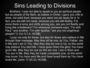# Sins Leading to Divisions

Brothers, I was not able to speak to you as spiritual people but as people of the flesh, as babies in Christ. I gave you milk to drink, not solid food, because you were not yet ready for it. In fact, you are still not ready, because you are still fleshly. For since there is envy and strife among you, are you not fleshly and living like unbelievers? For whenever someone says, "I'm with Paul," and another, "I'm with Apollos," are you not unspiritual people? [1 Cor 3:1-4, HCSB]

I pray not only for these, but also for those who believe in Me through their message. May they all be one, as You, Father, are in Me and I am in You. May they also be one in Us, so the world may believe You sent Me. I have given them the glory You have given Me. May they be one as We are one. I am in them and You are in Me. May they be made completely one, so the world may know You have sent Me and have loved them as You have loved Me. [John 17:20-23; HCSB]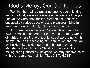### God's Mercy, Our Gentleness

[Remind them...] to slander no one, to avoid fighting, and to be kind, always showing gentleness to all people. For we too were once foolish, disobedient, deceived, enslaved by various passions and pleasures, living in malice and envy, hateful, detesting one another.

But when the kindness of God our Savior and His love for mankind appeared, He saved us—not by works of righteousness that we had done, but according to His mercy, through the washing of regeneration and renewal by the Holy Spirit. He poured out this Spirit on us abundantly through Jesus Christ our Savior, so that having been justified by His grace, we may become heirs with the hope of eternal life. [Titus 3:2-7; HCSB]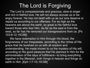# The Lord is Forgiving

The Lord is compassionate and gracious, slow to anger and rich in faithful love. He will not always accuse us or be angry forever. He has not dealt with us as our sins deserve or repaid us according to our offenses. For as high as the heavens are above the earth, so great is His faithful love toward those who fear Him. As far as the east is from the west, so far has He removed our transgressions from us. [Ps 103:8-12; HCSB]

We have redemption in Him through His blood, the forgiveness of our trespasses, according to the riches of His grace that He lavished on us with all wisdom and understanding. He made known to us the mystery of His will, according to His good pleasure that He planned in Him for the administration of the days of fulfillment—to bring everything together in the Messiah, both things in heaven and things on earth in Him. [Eph 1:7-10; HCSB]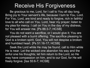#### Receive His Forgiveness

Be gracious to me, Lord, for I call to You all day long. Bring joy to Your servant's life, because I turn to You, Lord. For You, Lord, are kind and ready to forgive, rich in faithful love to all who call on You. Lord, hear my prayer; listen to my plea for mercy. I call on You in the day of my distress, for You will answer me. [Ps 86:3-7; HCSB]

You do not want a sacrifice, or I would give it; You are not pleased with a burnt offering. The sacrifice pleasing to God is a broken spirit. God, You will not despise a broken and humbled heart. [Ps 51:16-17; HCSB]

Seek the Lord while He may be found; call to Him while He is near. Let the wicked one abandon his way and the sinful one his thoughts; let him return to the Lord, so He may have compassion on him, and to our God, for He will freely forgive. [Isa 55:6-7; HCSB]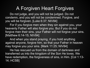#### A Forgiven Heart Forgives

Do not judge, and you will not be judged. Do not condemn, and you will not be condemned. Forgive, and you will be forgiven. [Luke 6:37; NIV84]

For if you forgive men when they sin against you, your heavenly Father will also forgive you. But if you do not forgive men their sins, your Father will not forgive your sins. [Matthew 6:14-15; NIV84]

And when you stand praying, if you hold anything against anyone, forgive him, so that your Father in heaven may forgive you your sins. [Mark 11:25; NIV84]

He has rescued us from the domain of darkness and transferred us into the kingdom of the Son He loves. We have redemption, the forgiveness of sins, in Him. [Col 1:13- 14; HCSB]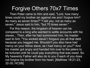#### Forgive Others 70x7 Times

Then Peter came to Him and said, "Lord, how many times could my brother sin against me and I forgive him? As many as seven times?" "I tell you, not as many as seven," Jesus said to him, "but 70 times seven."

For this reason, the kingdom of heaven can be compared to a king who wanted to settle accounts with his slaves... Then, after he had summoned him, his master said to him, "You wicked slave! I forgave you all that debt because you begged me. Shouldn't you also have had mercy on your fellow slave, as I had mercy on you?" And his master got angry and handed him over to the jailers to be tortured until he could pay everything that was owed. So My heavenly Father will also do to you if each of you does not forgive his brother from his heart. [Matthew 18:21-23, 32-35; HCSB]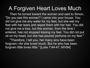# A Forgiven Heart Loves Much

Then he turned toward the woman and said to Simon, "Do you see this woman? I came into your house. You did not give me any water for my feet, but she wet my feet with her tears and wiped them with her hair. You did not give me a kiss, but this woman, from the time I entered, has not stopped kissing my feet. You did not put oil on my head, but she has poured perfume on my feet."

"Therefore, I tell you, her many sins have been forgiven—for she loved much. But he who has been forgiven little loves little." [Luke 7:44-47; NIV84]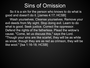# Sins of Omission

So it is a sin for the person who knows to do what is good and doesn't do it. [James 4:17; HCSB]

Wash yourselves. Cleanse yourselves. Remove your evil deeds from My sight. Stop doing evil. Learn to do what is good. Seek justice. Correct the oppressor. Defend the rights of the fatherless. Plead the widow's cause. "Come, let us discuss this," says the Lord. "Though your sins are like scarlet, they will be as white as snow; though they are as red as crimson, they will be like wool." [Isa 1:16-18; HCSB]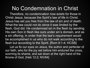### No Condemnation in Christ

Therefore, no condemnation now exists for those in Christ Jesus, because the Spirit's law of life in Christ. Jesus has set you free from the law of sin and of death. What the law could not do since it was limited by the flesh, God did. He condemned sin in the flesh by sending His own Son in flesh like ours under sin's domain, and as a sin offering, in order that the law's requirement would be accomplished in us who do not walk according to the flesh but according to the Spirit. [Rom 8:1-4; HCSB]

Let us fix our eyes on Jesus, the author and perfecter of our faith, who for the joy set before him endured the cross, scorning its shame, and sat down at the right hand of the throne of God. [Heb 12:2; NIV84]